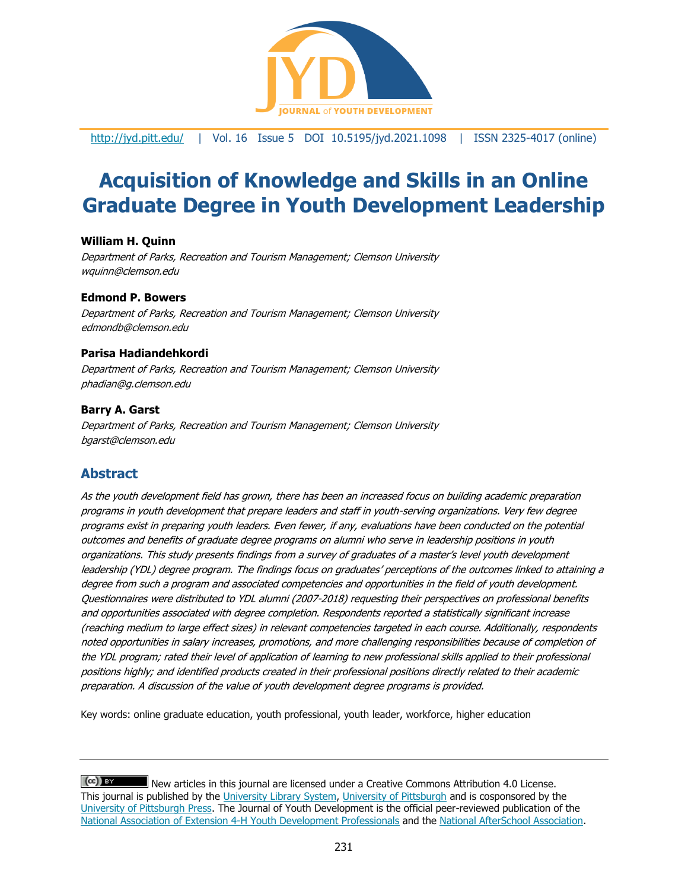

<http://jyd.pitt.edu/> | Vol. 16 Issue 5 DOI 10.5195/jyd.2021.1098 | ISSN 2325-4017 (online)

# **Acquisition of Knowledge and Skills in an Online Graduate Degree in Youth Development Leadership**

#### **William H. Quinn**

Department of Parks, Recreation and Tourism Management; Clemson University wquinn@clemson.edu

#### **Edmond P. Bowers**

Department of Parks, Recreation and Tourism Management; Clemson University edmondb@clemson.edu

#### **Parisa Hadiandehkordi**

Department of Parks, Recreation and Tourism Management; Clemson University phadian@g.clemson.edu

#### **Barry A. Garst**

Department of Parks, Recreation and Tourism Management; Clemson University bgarst@clemson.edu

# **Abstract**

As the youth development field has grown, there has been an increased focus on building academic preparation programs in youth development that prepare leaders and staff in youth-serving organizations. Very few degree programs exist in preparing youth leaders. Even fewer, if any, evaluations have been conducted on the potential outcomes and benefits of graduate degree programs on alumni who serve in leadership positions in youth organizations. This study presents findings from a survey of graduates of a master's level youth development leadership (YDL) degree program. The findings focus on graduates' perceptions of the outcomes linked to attaining a degree from such a program and associated competencies and opportunities in the field of youth development. Questionnaires were distributed to YDL alumni (2007-2018) requesting their perspectives on professional benefits and opportunities associated with degree completion. Respondents reported a statistically significant increase (reaching medium to large effect sizes) in relevant competencies targeted in each course. Additionally, respondents noted opportunities in salary increases, promotions, and more challenging responsibilities because of completion of the YDL program; rated their level of application of learning to new professional skills applied to their professional positions highly; and identified products created in their professional positions directly related to their academic preparation. A discussion of the value of youth development degree programs is provided.

Key words: online graduate education, youth professional, youth leader, workforce, higher education

 $(cc)$  BY New articles in this journal are licensed under a Creative Commons Attribution 4.0 License. This journal is published by the [University Library System,](http://www.library.pitt.edu/) [University of Pittsburgh](http://www.pitt.edu/) and is cosponsored by the [University of Pittsburgh Press.](http://www.upress.pitt.edu/upressIndex.aspx) The Journal of Youth Development is the official peer-reviewed publication of the [National Association of Extension 4-H Youth Development Professionals](http://www.nae4ha.com/) and the [National AfterSchool Association.](http://naaweb.org/)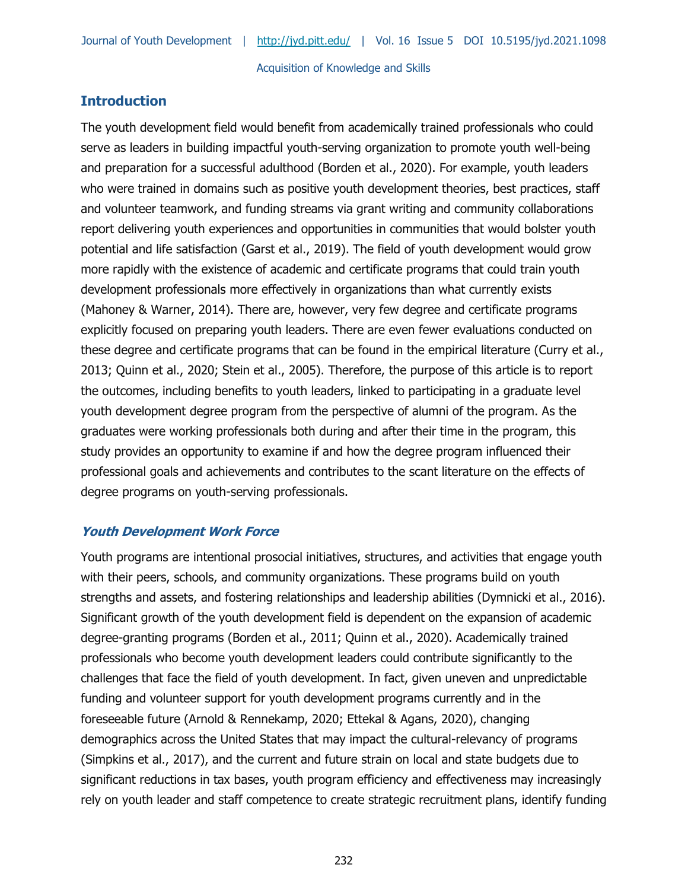# **Introduction**

The youth development field would benefit from academically trained professionals who could serve as leaders in building impactful youth-serving organization to promote youth well-being and preparation for a successful adulthood (Borden et al., 2020). For example, youth leaders who were trained in domains such as positive youth development theories, best practices, staff and volunteer teamwork, and funding streams via grant writing and community collaborations report delivering youth experiences and opportunities in communities that would bolster youth potential and life satisfaction (Garst et al., 2019). The field of youth development would grow more rapidly with the existence of academic and certificate programs that could train youth development professionals more effectively in organizations than what currently exists (Mahoney & Warner, 2014). There are, however, very few degree and certificate programs explicitly focused on preparing youth leaders. There are even fewer evaluations conducted on these degree and certificate programs that can be found in the empirical literature (Curry et al., 2013; Quinn et al., 2020; Stein et al., 2005). Therefore, the purpose of this article is to report the outcomes, including benefits to youth leaders, linked to participating in a graduate level youth development degree program from the perspective of alumni of the program. As the graduates were working professionals both during and after their time in the program, this study provides an opportunity to examine if and how the degree program influenced their professional goals and achievements and contributes to the scant literature on the effects of degree programs on youth-serving professionals.

#### **Youth Development Work Force**

Youth programs are intentional prosocial initiatives, structures, and activities that engage youth with their peers, schools, and community organizations. These programs build on youth strengths and assets, and fostering relationships and leadership abilities (Dymnicki et al., 2016). Significant growth of the youth development field is dependent on the expansion of academic degree-granting programs (Borden et al., 2011; Quinn et al., 2020). Academically trained professionals who become youth development leaders could contribute significantly to the challenges that face the field of youth development. In fact, given uneven and unpredictable funding and volunteer support for youth development programs currently and in the foreseeable future (Arnold & Rennekamp, 2020; Ettekal & Agans, 2020), changing demographics across the United States that may impact the cultural-relevancy of programs (Simpkins et al., 2017), and the current and future strain on local and state budgets due to significant reductions in tax bases, youth program efficiency and effectiveness may increasingly rely on youth leader and staff competence to create strategic recruitment plans, identify funding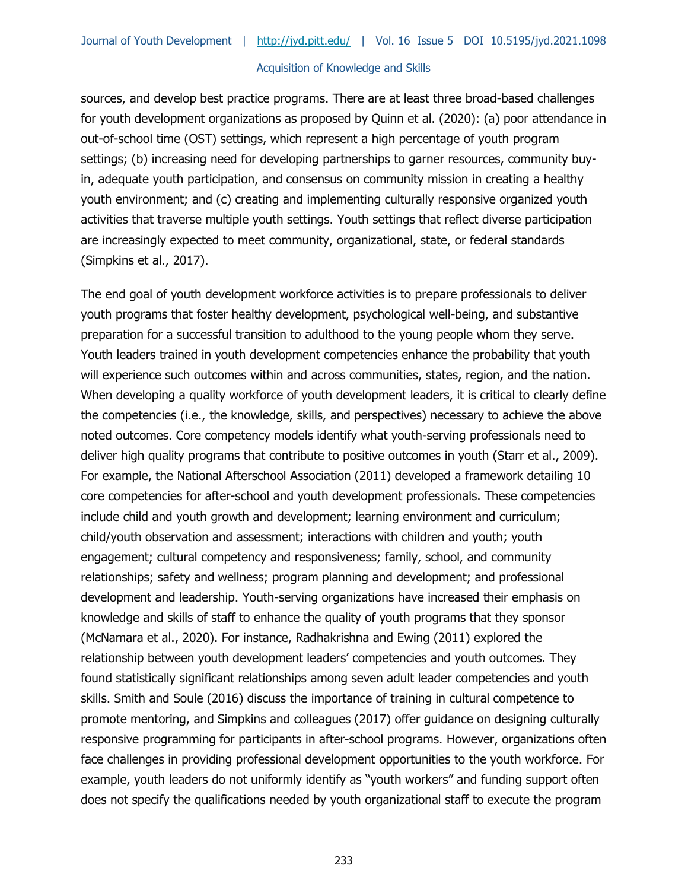sources, and develop best practice programs. There are at least three broad-based challenges for youth development organizations as proposed by Quinn et al. (2020): (a) poor attendance in out-of-school time (OST) settings, which represent a high percentage of youth program settings; (b) increasing need for developing partnerships to garner resources, community buyin, adequate youth participation, and consensus on community mission in creating a healthy youth environment; and (c) creating and implementing culturally responsive organized youth activities that traverse multiple youth settings. Youth settings that reflect diverse participation are increasingly expected to meet community, organizational, state, or federal standards (Simpkins et al., 2017).

The end goal of youth development workforce activities is to prepare professionals to deliver youth programs that foster healthy development, psychological well-being, and substantive preparation for a successful transition to adulthood to the young people whom they serve. Youth leaders trained in youth development competencies enhance the probability that youth will experience such outcomes within and across communities, states, region, and the nation. When developing a quality workforce of youth development leaders, it is critical to clearly define the competencies (i.e., the knowledge, skills, and perspectives) necessary to achieve the above noted outcomes. Core competency models identify what youth-serving professionals need to deliver high quality programs that contribute to positive outcomes in youth (Starr et al., 2009). For example, the National Afterschool Association (2011) developed a framework detailing 10 core competencies for after-school and youth development professionals. These competencies include child and youth growth and development; learning environment and curriculum; child/youth observation and assessment; interactions with children and youth; youth engagement; cultural competency and responsiveness; family, school, and community relationships; safety and wellness; program planning and development; and professional development and leadership. Youth-serving organizations have increased their emphasis on knowledge and skills of staff to enhance the quality of youth programs that they sponsor (McNamara et al., 2020). For instance, Radhakrishna and Ewing (2011) explored the relationship between youth development leaders' competencies and youth outcomes. They found statistically significant relationships among seven adult leader competencies and youth skills. Smith and Soule (2016) discuss the importance of training in cultural competence to promote mentoring, and Simpkins and colleagues (2017) offer guidance on designing culturally responsive programming for participants in after-school programs. However, organizations often face challenges in providing professional development opportunities to the youth workforce. For example, youth leaders do not uniformly identify as "youth workers" and funding support often does not specify the qualifications needed by youth organizational staff to execute the program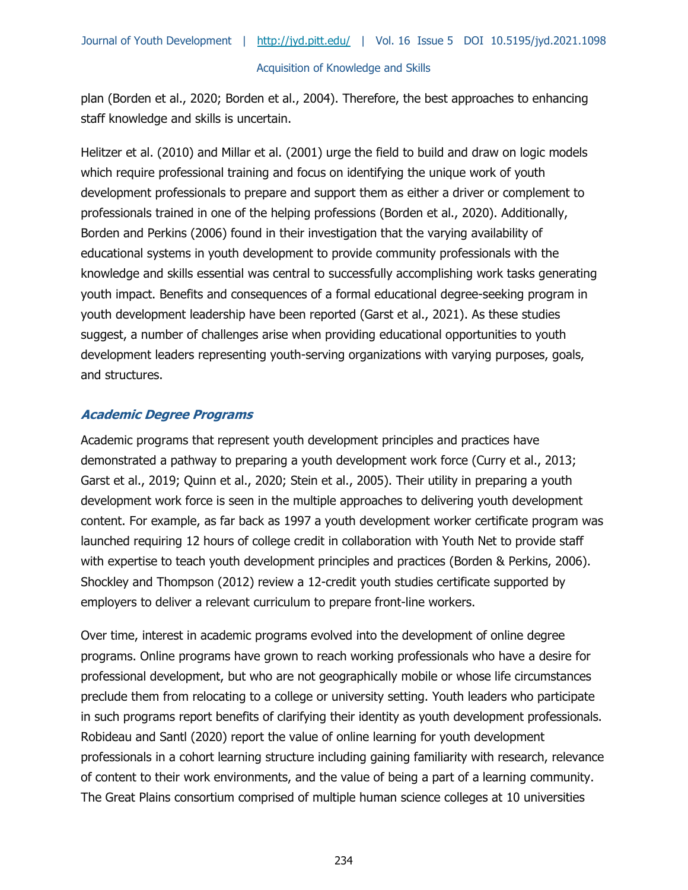plan (Borden et al., 2020; Borden et al., 2004). Therefore, the best approaches to enhancing staff knowledge and skills is uncertain.

Helitzer et al. (2010) and Millar et al. (2001) urge the field to build and draw on logic models which require professional training and focus on identifying the unique work of youth development professionals to prepare and support them as either a driver or complement to professionals trained in one of the helping professions (Borden et al., 2020). Additionally, Borden and Perkins (2006) found in their investigation that the varying availability of educational systems in youth development to provide community professionals with the knowledge and skills essential was central to successfully accomplishing work tasks generating youth impact. Benefits and consequences of a formal educational degree-seeking program in youth development leadership have been reported (Garst et al., 2021). As these studies suggest, a number of challenges arise when providing educational opportunities to youth development leaders representing youth-serving organizations with varying purposes, goals, and structures.

## **Academic Degree Programs**

Academic programs that represent youth development principles and practices have demonstrated a pathway to preparing a youth development work force (Curry et al., 2013; Garst et al., 2019; Quinn et al., 2020; Stein et al., 2005). Their utility in preparing a youth development work force is seen in the multiple approaches to delivering youth development content. For example, as far back as 1997 a youth development worker certificate program was launched requiring 12 hours of college credit in collaboration with Youth Net to provide staff with expertise to teach youth development principles and practices (Borden & Perkins, 2006). Shockley and Thompson (2012) review a 12-credit youth studies certificate supported by employers to deliver a relevant curriculum to prepare front-line workers.

Over time, interest in academic programs evolved into the development of online degree programs. Online programs have grown to reach working professionals who have a desire for professional development, but who are not geographically mobile or whose life circumstances preclude them from relocating to a college or university setting. Youth leaders who participate in such programs report benefits of clarifying their identity as youth development professionals. Robideau and Santl (2020) report the value of online learning for youth development professionals in a cohort learning structure including gaining familiarity with research, relevance of content to their work environments, and the value of being a part of a learning community. The Great Plains consortium comprised of multiple human science colleges at 10 universities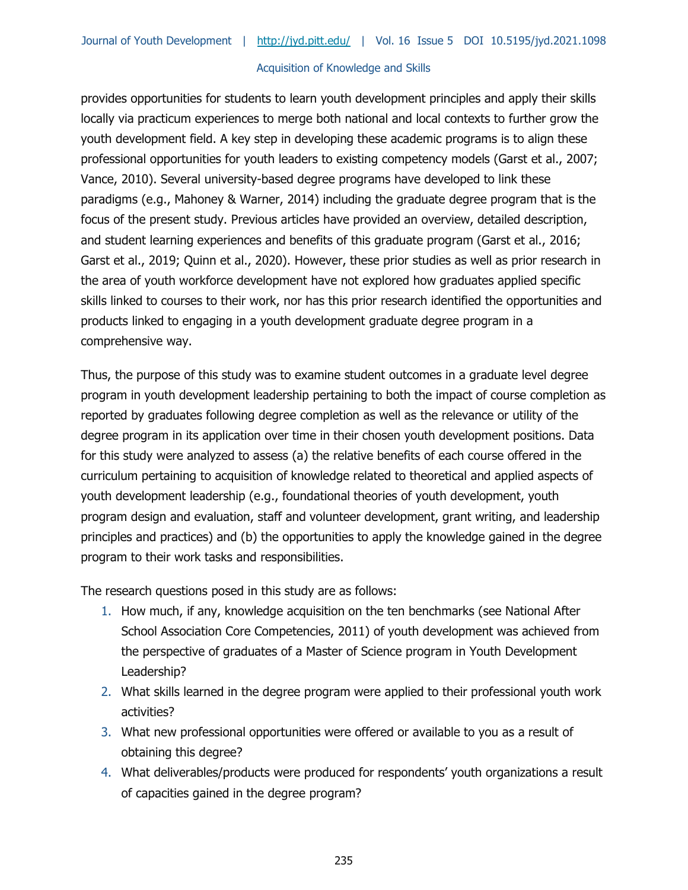provides opportunities for students to learn youth development principles and apply their skills locally via practicum experiences to merge both national and local contexts to further grow the youth development field. A key step in developing these academic programs is to align these professional opportunities for youth leaders to existing competency models (Garst et al., 2007; Vance, 2010). Several university-based degree programs have developed to link these paradigms (e.g., Mahoney & Warner, 2014) including the graduate degree program that is the focus of the present study. Previous articles have provided an overview, detailed description, and student learning experiences and benefits of this graduate program (Garst et al., 2016; Garst et al., 2019; Quinn et al., 2020). However, these prior studies as well as prior research in the area of youth workforce development have not explored how graduates applied specific skills linked to courses to their work, nor has this prior research identified the opportunities and products linked to engaging in a youth development graduate degree program in a comprehensive way.

Thus, the purpose of this study was to examine student outcomes in a graduate level degree program in youth development leadership pertaining to both the impact of course completion as reported by graduates following degree completion as well as the relevance or utility of the degree program in its application over time in their chosen youth development positions. Data for this study were analyzed to assess (a) the relative benefits of each course offered in the curriculum pertaining to acquisition of knowledge related to theoretical and applied aspects of youth development leadership (e.g., foundational theories of youth development, youth program design and evaluation, staff and volunteer development, grant writing, and leadership principles and practices) and (b) the opportunities to apply the knowledge gained in the degree program to their work tasks and responsibilities.

The research questions posed in this study are as follows:

- 1. How much, if any, knowledge acquisition on the ten benchmarks (see National After School Association Core Competencies, 2011) of youth development was achieved from the perspective of graduates of a Master of Science program in Youth Development Leadership?
- 2. What skills learned in the degree program were applied to their professional youth work activities?
- 3. What new professional opportunities were offered or available to you as a result of obtaining this degree?
- 4. What deliverables/products were produced for respondents' youth organizations a result of capacities gained in the degree program?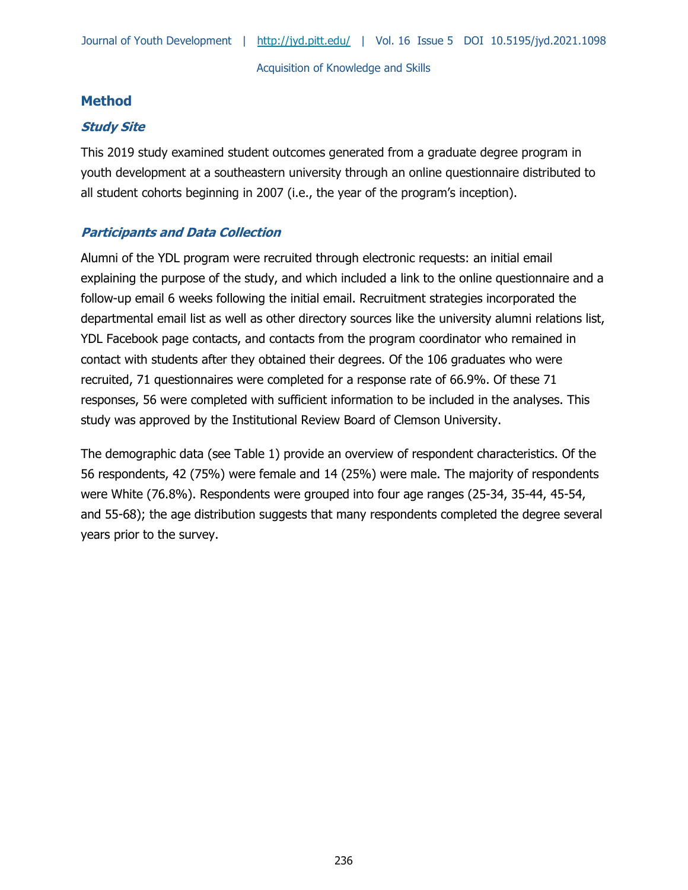# **Method**

# **Study Site**

This 2019 study examined student outcomes generated from a graduate degree program in youth development at a southeastern university through an online questionnaire distributed to all student cohorts beginning in 2007 (i.e., the year of the program's inception).

# **Participants and Data Collection**

Alumni of the YDL program were recruited through electronic requests: an initial email explaining the purpose of the study, and which included a link to the online questionnaire and a follow-up email 6 weeks following the initial email. Recruitment strategies incorporated the departmental email list as well as other directory sources like the university alumni relations list, YDL Facebook page contacts, and contacts from the program coordinator who remained in contact with students after they obtained their degrees. Of the 106 graduates who were recruited, 71 questionnaires were completed for a response rate of 66.9%. Of these 71 responses, 56 were completed with sufficient information to be included in the analyses. This study was approved by the Institutional Review Board of Clemson University.

The demographic data (see Table 1) provide an overview of respondent characteristics. Of the 56 respondents, 42 (75%) were female and 14 (25%) were male. The majority of respondents were White (76.8%). Respondents were grouped into four age ranges (25-34, 35-44, 45-54, and 55-68); the age distribution suggests that many respondents completed the degree several years prior to the survey.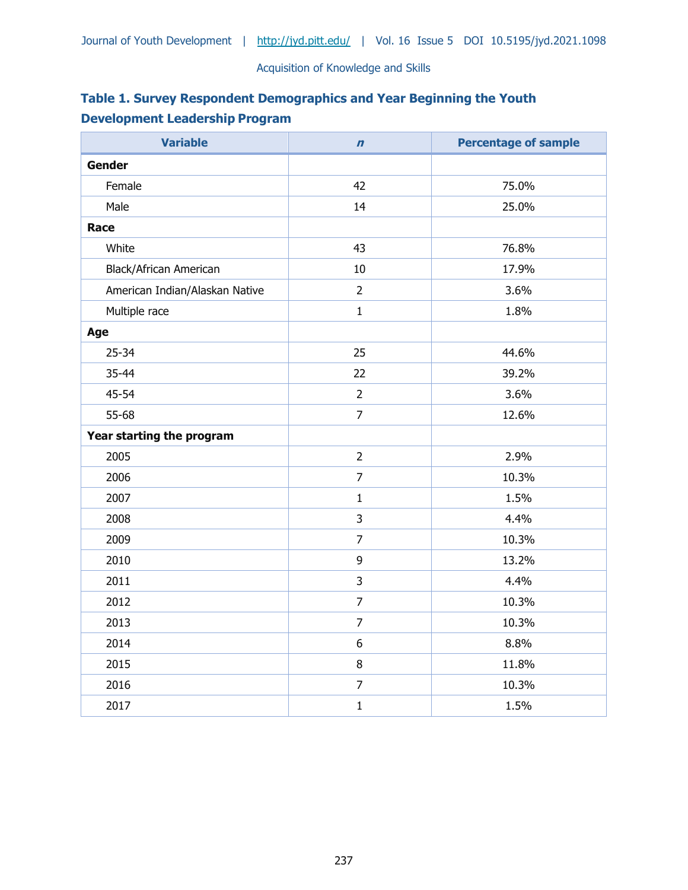| Table 1. Survey Respondent Demographics and Year Beginning the Youth |  |
|----------------------------------------------------------------------|--|
| <b>Development Leadership Program</b>                                |  |

| <b>Variable</b>                | $\mathbf n$    | <b>Percentage of sample</b> |
|--------------------------------|----------------|-----------------------------|
| <b>Gender</b>                  |                |                             |
| Female                         | 42             | 75.0%                       |
| Male                           | 14             | 25.0%                       |
| Race                           |                |                             |
| White                          | 43             | 76.8%                       |
| Black/African American         | 10             | 17.9%                       |
| American Indian/Alaskan Native | $\overline{2}$ | 3.6%                        |
| Multiple race                  | $\mathbf{1}$   | 1.8%                        |
| Age                            |                |                             |
| $25 - 34$                      | 25             | 44.6%                       |
| 35-44                          | 22             | 39.2%                       |
| 45-54                          | $\overline{2}$ | 3.6%                        |
| 55-68                          | $\overline{7}$ | 12.6%                       |
| Year starting the program      |                |                             |
| 2005                           | $\overline{2}$ | 2.9%                        |
| 2006                           | $\overline{7}$ | 10.3%                       |
| 2007                           | $\mathbf{1}$   | 1.5%                        |
| 2008                           | 3              | 4.4%                        |
| 2009                           | $\overline{7}$ | 10.3%                       |
| 2010                           | 9              | 13.2%                       |
| 2011                           | 3              | 4.4%                        |
| 2012                           | $\overline{7}$ | 10.3%                       |
| 2013                           | $\overline{7}$ | 10.3%                       |
| 2014                           | 6              | 8.8%                        |
| 2015                           | 8              | 11.8%                       |
| 2016                           | $\overline{7}$ | 10.3%                       |
| 2017                           | $\mathbf 1$    | 1.5%                        |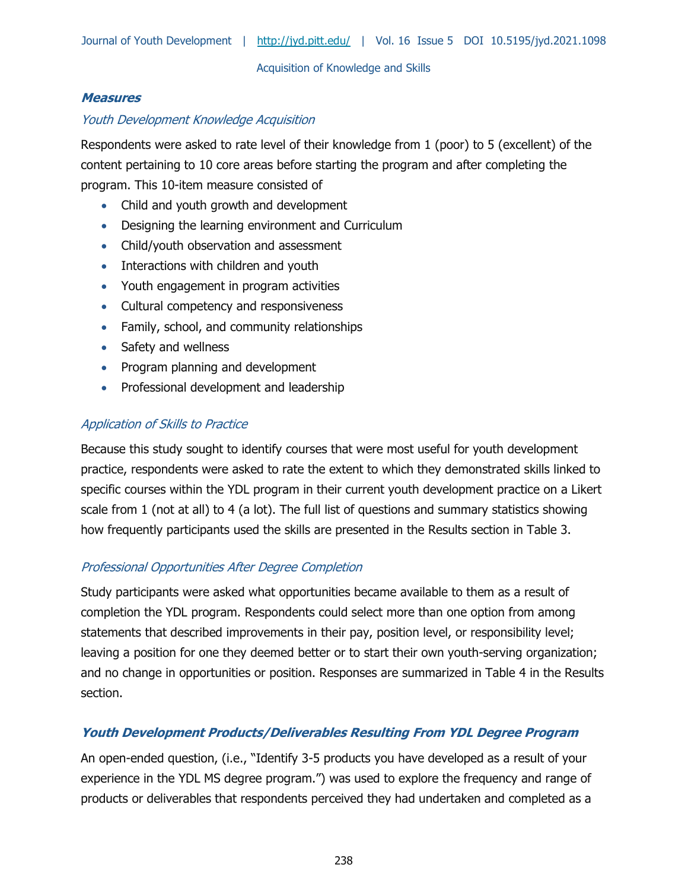## **Measures**

## Youth Development Knowledge Acquisition

Respondents were asked to rate level of their knowledge from 1 (poor) to 5 (excellent) of the content pertaining to 10 core areas before starting the program and after completing the program. This 10-item measure consisted of

- Child and youth growth and development
- Designing the learning environment and Curriculum
- Child/youth observation and assessment
- Interactions with children and youth
- Youth engagement in program activities
- Cultural competency and responsiveness
- Family, school, and community relationships
- Safety and wellness
- Program planning and development
- Professional development and leadership

## Application of Skills to Practice

Because this study sought to identify courses that were most useful for youth development practice, respondents were asked to rate the extent to which they demonstrated skills linked to specific courses within the YDL program in their current youth development practice on a Likert scale from 1 (not at all) to 4 (a lot). The full list of questions and summary statistics showing how frequently participants used the skills are presented in the Results section in Table 3.

#### Professional Opportunities After Degree Completion

Study participants were asked what opportunities became available to them as a result of completion the YDL program. Respondents could select more than one option from among statements that described improvements in their pay, position level, or responsibility level; leaving a position for one they deemed better or to start their own youth-serving organization; and no change in opportunities or position. Responses are summarized in Table 4 in the Results section.

# **Youth Development Products/Deliverables Resulting From YDL Degree Program**

An open-ended question, (i.e., "Identify 3-5 products you have developed as a result of your experience in the YDL MS degree program.") was used to explore the frequency and range of products or deliverables that respondents perceived they had undertaken and completed as a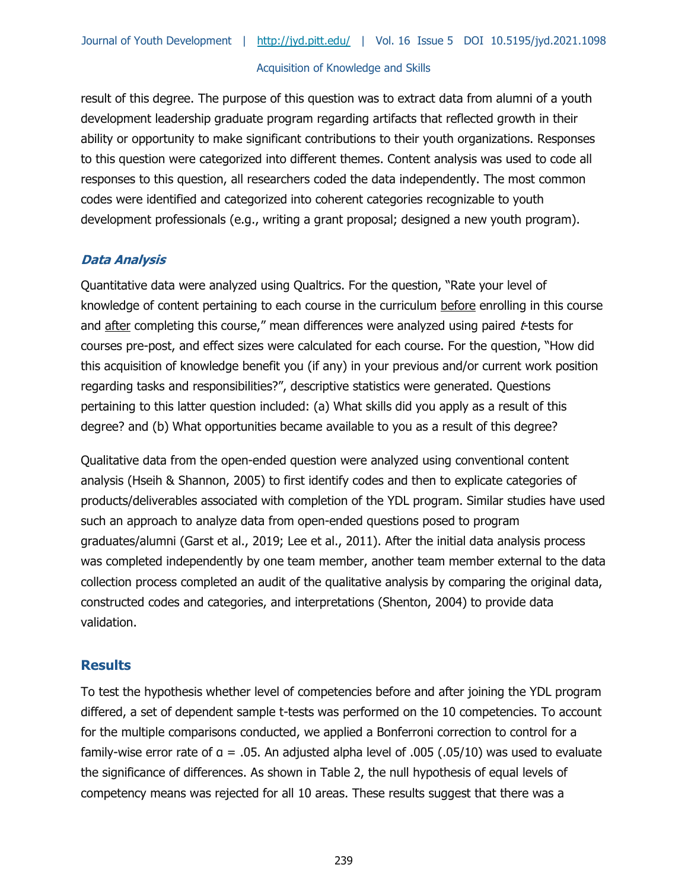result of this degree. The purpose of this question was to extract data from alumni of a youth development leadership graduate program regarding artifacts that reflected growth in their ability or opportunity to make significant contributions to their youth organizations. Responses to this question were categorized into different themes. Content analysis was used to code all responses to this question, all researchers coded the data independently. The most common codes were identified and categorized into coherent categories recognizable to youth development professionals (e.g., writing a grant proposal; designed a new youth program).

## **Data Analysis**

Quantitative data were analyzed using Qualtrics. For the question, "Rate your level of knowledge of content pertaining to each course in the curriculum before enrolling in this course and after completing this course," mean differences were analyzed using paired  $t$ -tests for courses pre-post, and effect sizes were calculated for each course. For the question, "How did this acquisition of knowledge benefit you (if any) in your previous and/or current work position regarding tasks and responsibilities?", descriptive statistics were generated. Questions pertaining to this latter question included: (a) What skills did you apply as a result of this degree? and (b) What opportunities became available to you as a result of this degree?

Qualitative data from the open-ended question were analyzed using conventional content analysis (Hseih & Shannon, 2005) to first identify codes and then to explicate categories of products/deliverables associated with completion of the YDL program. Similar studies have used such an approach to analyze data from open-ended questions posed to program graduates/alumni (Garst et al., 2019; Lee et al., 2011). After the initial data analysis process was completed independently by one team member, another team member external to the data collection process completed an audit of the qualitative analysis by comparing the original data, constructed codes and categories, and interpretations (Shenton, 2004) to provide data validation.

#### **Results**

To test the hypothesis whether level of competencies before and after joining the YDL program differed, a set of dependent sample t-tests was performed on the 10 competencies. To account for the multiple comparisons conducted, we applied a Bonferroni correction to control for a family-wise error rate of  $a = .05$ . An adjusted alpha level of .005 (.05/10) was used to evaluate the significance of differences. As shown in Table 2, the null hypothesis of equal levels of competency means was rejected for all 10 areas. These results suggest that there was a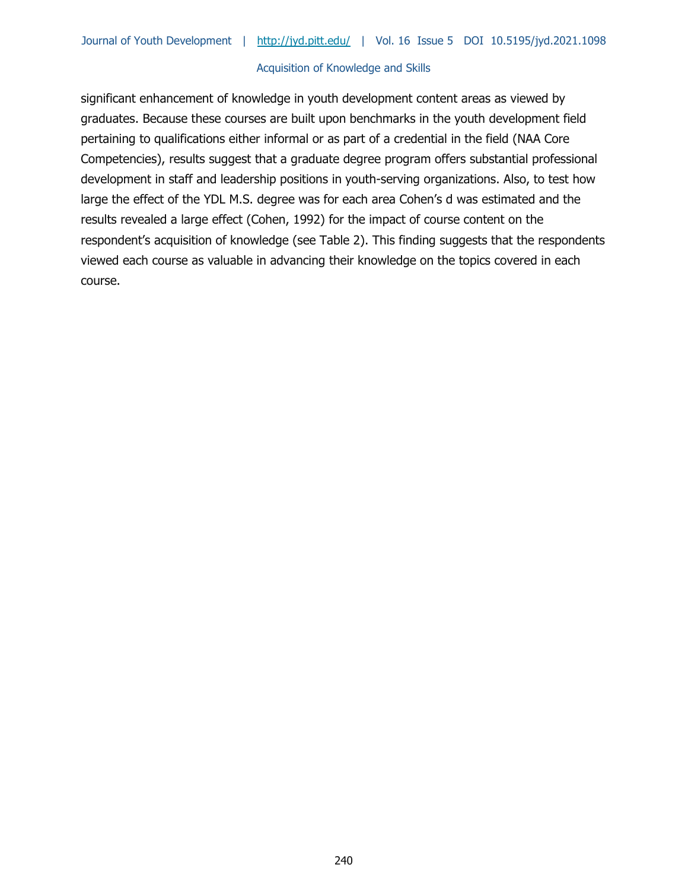significant enhancement of knowledge in youth development content areas as viewed by graduates. Because these courses are built upon benchmarks in the youth development field pertaining to qualifications either informal or as part of a credential in the field (NAA Core Competencies), results suggest that a graduate degree program offers substantial professional development in staff and leadership positions in youth-serving organizations. Also, to test how large the effect of the YDL M.S. degree was for each area Cohen's d was estimated and the results revealed a large effect (Cohen, 1992) for the impact of course content on the respondent's acquisition of knowledge (see Table 2). This finding suggests that the respondents viewed each course as valuable in advancing their knowledge on the topics covered in each course.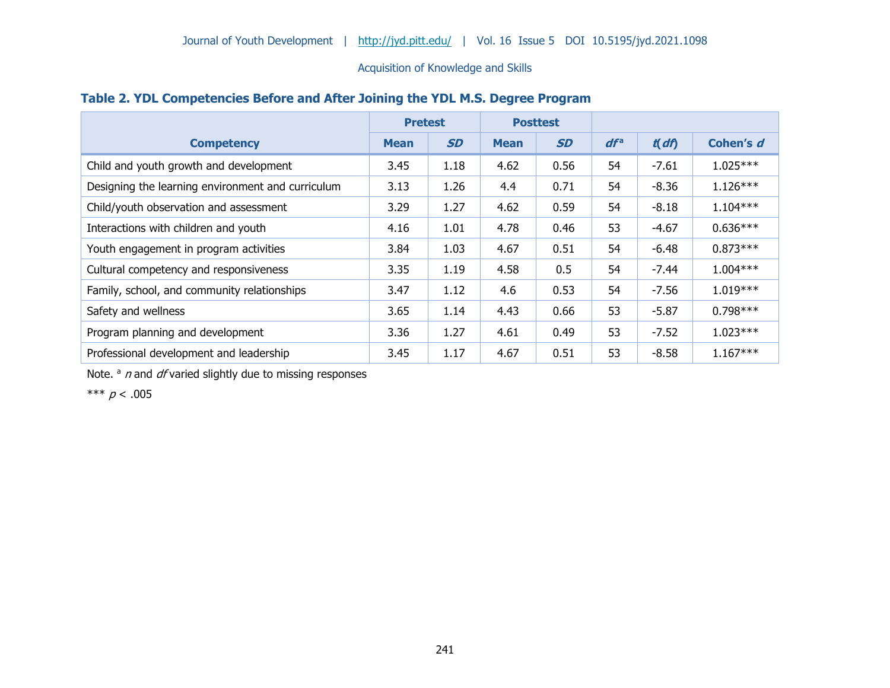|  |  | Table 2. YDL Competencies Before and After Joining the YDL M.S. Degree Program |
|--|--|--------------------------------------------------------------------------------|
|--|--|--------------------------------------------------------------------------------|

|                                                   | <b>Pretest</b> |           | <b>Posttest</b> |           |        |         |            |
|---------------------------------------------------|----------------|-----------|-----------------|-----------|--------|---------|------------|
| <b>Competency</b>                                 | <b>Mean</b>    | <b>SD</b> | <b>Mean</b>     | <b>SD</b> | $df^a$ | t(df)   | Cohen's d  |
| Child and youth growth and development            | 3.45           | 1.18      | 4.62            | 0.56      | 54     | $-7.61$ | $1.025***$ |
| Designing the learning environment and curriculum | 3.13           | 1.26      | 4.4             | 0.71      | 54     | $-8.36$ | $1.126***$ |
| Child/youth observation and assessment            | 3.29           | 1.27      | 4.62            | 0.59      | 54     | $-8.18$ | $1.104***$ |
| Interactions with children and youth              | 4.16           | 1.01      | 4.78            | 0.46      | 53     | $-4.67$ | $0.636***$ |
| Youth engagement in program activities            | 3.84           | 1.03      | 4.67            | 0.51      | 54     | $-6.48$ | $0.873***$ |
| Cultural competency and responsiveness            | 3.35           | 1.19      | 4.58            | 0.5       | 54     | $-7.44$ | $1.004***$ |
| Family, school, and community relationships       | 3.47           | 1.12      | 4.6             | 0.53      | 54     | $-7.56$ | $1.019***$ |
| Safety and wellness                               | 3.65           | 1.14      | 4.43            | 0.66      | 53     | $-5.87$ | $0.798***$ |
| Program planning and development                  | 3.36           | 1.27      | 4.61            | 0.49      | 53     | $-7.52$ | $1.023***$ |
| Professional development and leadership           | 3.45           | 1.17      | 4.67            | 0.51      | 53     | $-8.58$ | $1.167***$ |

Note.  $a$  n and df varied slightly due to missing responses

\*\*\*  $p < .005$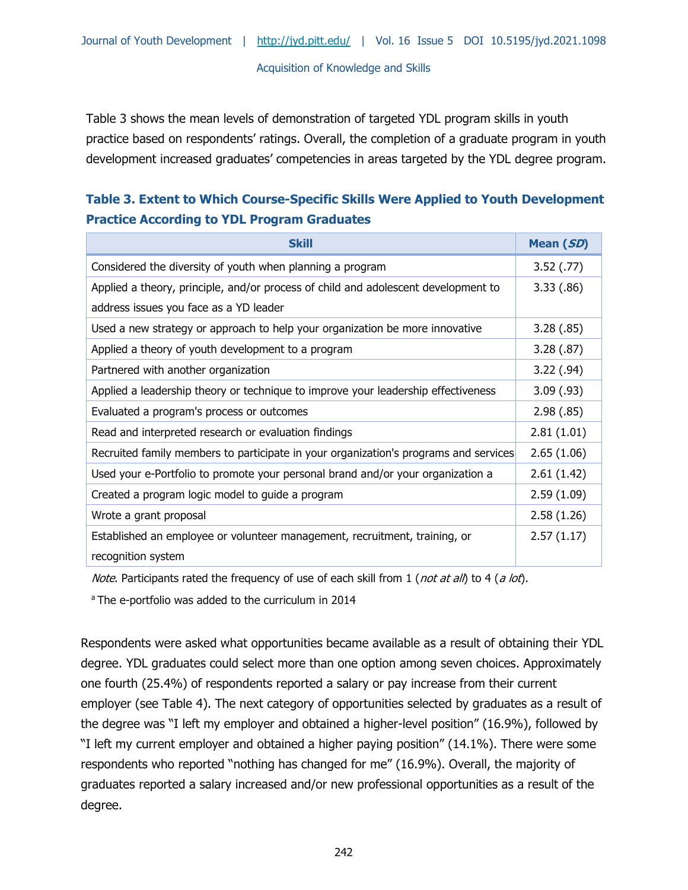Table 3 shows the mean levels of demonstration of targeted YDL program skills in youth practice based on respondents' ratings. Overall, the completion of a graduate program in youth development increased graduates' competencies in areas targeted by the YDL degree program.

# **Table 3. Extent to Which Course-Specific Skills Were Applied to Youth Development Practice According to YDL Program Graduates**

| <b>Skill</b>                                                                                     | Mean (SD)      |
|--------------------------------------------------------------------------------------------------|----------------|
| Considered the diversity of youth when planning a program                                        | $3.52$ $(.77)$ |
| Applied a theory, principle, and/or process of child and adolescent development to               | 3.33(.86)      |
| address issues you face as a YD leader                                                           |                |
| Used a new strategy or approach to help your organization be more innovative                     | 3.28(.85)      |
| Applied a theory of youth development to a program                                               | 3.28(.87)      |
| Partnered with another organization                                                              | 3.22(.94)      |
| Applied a leadership theory or technique to improve your leadership effectiveness                | 3.09(0.93)     |
| Evaluated a program's process or outcomes                                                        | 2.98(.85)      |
| Read and interpreted research or evaluation findings                                             | 2.81(1.01)     |
| Recruited family members to participate in your organization's programs and services             | 2.65(1.06)     |
| Used your e-Portfolio to promote your personal brand and/or your organization a                  | 2.61(1.42)     |
| Created a program logic model to guide a program                                                 | 2.59(1.09)     |
| Wrote a grant proposal                                                                           | 2.58(1.26)     |
| Established an employee or volunteer management, recruitment, training, or<br>recognition system | 2.57(1.17)     |

*Note.* Participants rated the frequency of use of each skill from 1 (not at all) to 4 (a lot).

<sup>a</sup> The e-portfolio was added to the curriculum in 2014

Respondents were asked what opportunities became available as a result of obtaining their YDL degree. YDL graduates could select more than one option among seven choices. Approximately one fourth (25.4%) of respondents reported a salary or pay increase from their current employer (see Table 4). The next category of opportunities selected by graduates as a result of the degree was "I left my employer and obtained a higher-level position" (16.9%), followed by "I left my current employer and obtained a higher paying position" (14.1%). There were some respondents who reported "nothing has changed for me" (16.9%). Overall, the majority of graduates reported a salary increased and/or new professional opportunities as a result of the degree.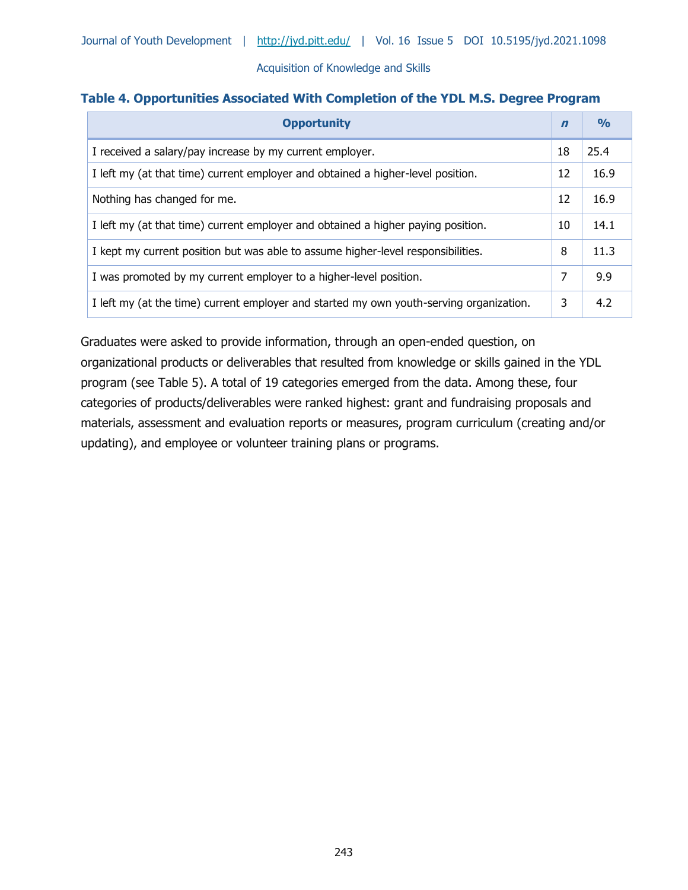## **Table 4. Opportunities Associated With Completion of the YDL M.S. Degree Program**

| <b>Opportunity</b>                                                                      | $\mathbf n$ | $\frac{O}{O}$ |
|-----------------------------------------------------------------------------------------|-------------|---------------|
| I received a salary/pay increase by my current employer.                                | 18          | 25.4          |
| I left my (at that time) current employer and obtained a higher-level position.         | 12          | 16.9          |
| Nothing has changed for me.                                                             | 12          | 16.9          |
| I left my (at that time) current employer and obtained a higher paying position.        | 10          | 14.1          |
| I kept my current position but was able to assume higher-level responsibilities.        | 8           | 11.3          |
| I was promoted by my current employer to a higher-level position.                       | 7           | 9.9           |
| I left my (at the time) current employer and started my own youth-serving organization. | 3           | 4.2           |

Graduates were asked to provide information, through an open-ended question, on organizational products or deliverables that resulted from knowledge or skills gained in the YDL program (see Table 5). A total of 19 categories emerged from the data. Among these, four categories of products/deliverables were ranked highest: grant and fundraising proposals and materials, assessment and evaluation reports or measures, program curriculum (creating and/or updating), and employee or volunteer training plans or programs.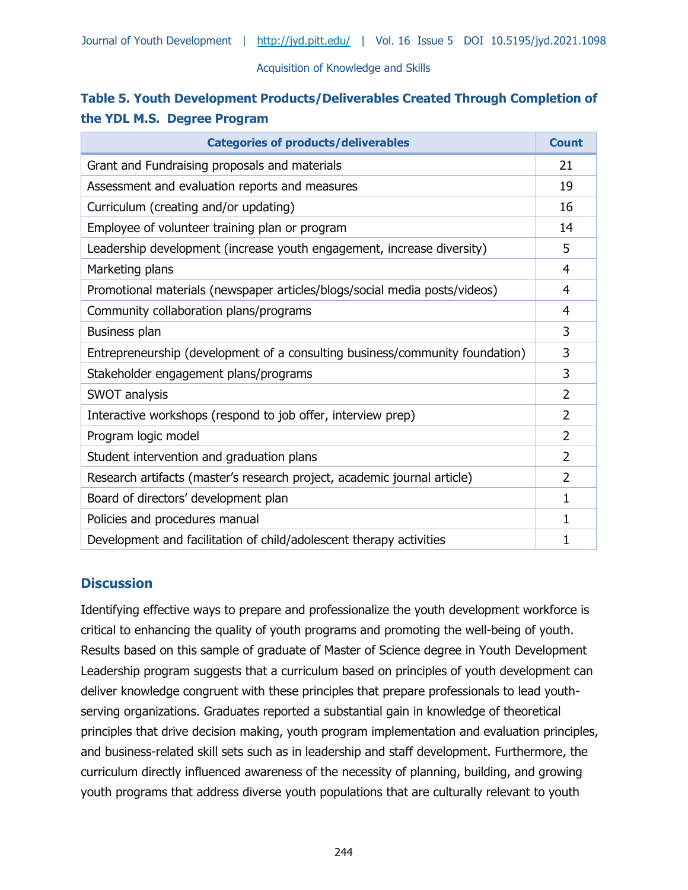# **Table 5. Youth Development Products/Deliverables Created Through Completion of the YDL M.S. Degree Program**

| <b>Categories of products/deliverables</b>                                   | <b>Count</b>   |
|------------------------------------------------------------------------------|----------------|
| Grant and Fundraising proposals and materials                                | 21             |
| Assessment and evaluation reports and measures                               | 19             |
| Curriculum (creating and/or updating)                                        | 16             |
| Employee of volunteer training plan or program                               | 14             |
| Leadership development (increase youth engagement, increase diversity)       | 5              |
| Marketing plans                                                              | 4              |
| Promotional materials (newspaper articles/blogs/social media posts/videos)   | 4              |
| Community collaboration plans/programs                                       | 4              |
| Business plan                                                                | 3              |
| Entrepreneurship (development of a consulting business/community foundation) | 3              |
| Stakeholder engagement plans/programs                                        | 3              |
| SWOT analysis                                                                | $\overline{2}$ |
| Interactive workshops (respond to job offer, interview prep)                 | 2              |
| Program logic model                                                          | 2              |
| Student intervention and graduation plans                                    | $\overline{2}$ |
| Research artifacts (master's research project, academic journal article)     | 2              |
| Board of directors' development plan                                         | 1              |
| Policies and procedures manual                                               | 1              |
| Development and facilitation of child/adolescent therapy activities          | 1              |

# **Discussion**

Identifying effective ways to prepare and professionalize the youth development workforce is critical to enhancing the quality of youth programs and promoting the well-being of youth. Results based on this sample of graduate of Master of Science degree in Youth Development Leadership program suggests that a curriculum based on principles of youth development can deliver knowledge congruent with these principles that prepare professionals to lead youthserving organizations. Graduates reported a substantial gain in knowledge of theoretical principles that drive decision making, youth program implementation and evaluation principles, and business-related skill sets such as in leadership and staff development. Furthermore, the curriculum directly influenced awareness of the necessity of planning, building, and growing youth programs that address diverse youth populations that are culturally relevant to youth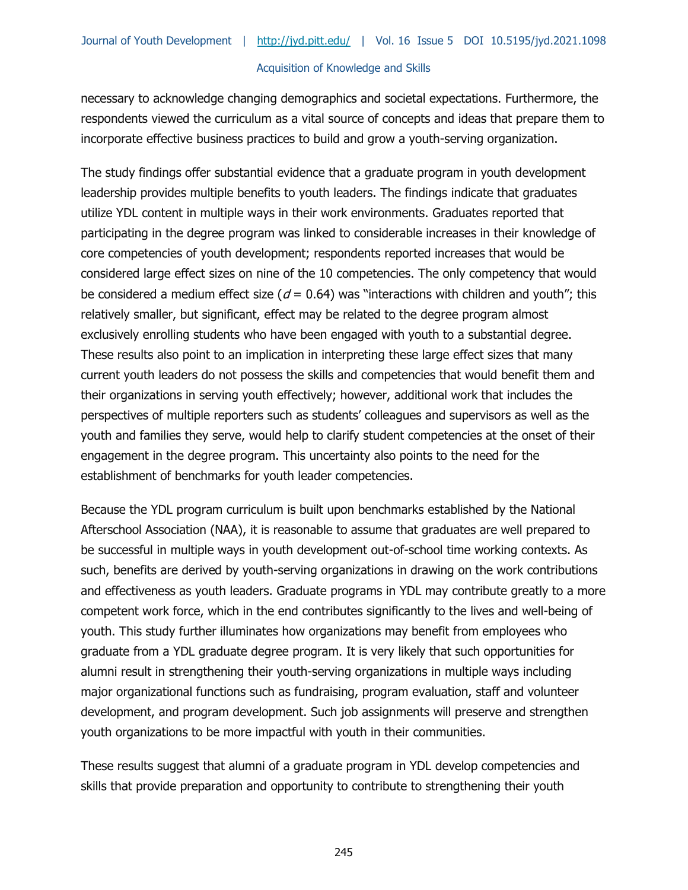necessary to acknowledge changing demographics and societal expectations. Furthermore, the respondents viewed the curriculum as a vital source of concepts and ideas that prepare them to incorporate effective business practices to build and grow a youth-serving organization.

The study findings offer substantial evidence that a graduate program in youth development leadership provides multiple benefits to youth leaders. The findings indicate that graduates utilize YDL content in multiple ways in their work environments. Graduates reported that participating in the degree program was linked to considerable increases in their knowledge of core competencies of youth development; respondents reported increases that would be considered large effect sizes on nine of the 10 competencies. The only competency that would be considered a medium effect size ( $d = 0.64$ ) was "interactions with children and youth"; this relatively smaller, but significant, effect may be related to the degree program almost exclusively enrolling students who have been engaged with youth to a substantial degree. These results also point to an implication in interpreting these large effect sizes that many current youth leaders do not possess the skills and competencies that would benefit them and their organizations in serving youth effectively; however, additional work that includes the perspectives of multiple reporters such as students' colleagues and supervisors as well as the youth and families they serve, would help to clarify student competencies at the onset of their engagement in the degree program. This uncertainty also points to the need for the establishment of benchmarks for youth leader competencies.

Because the YDL program curriculum is built upon benchmarks established by the National Afterschool Association (NAA), it is reasonable to assume that graduates are well prepared to be successful in multiple ways in youth development out-of-school time working contexts. As such, benefits are derived by youth-serving organizations in drawing on the work contributions and effectiveness as youth leaders. Graduate programs in YDL may contribute greatly to a more competent work force, which in the end contributes significantly to the lives and well-being of youth. This study further illuminates how organizations may benefit from employees who graduate from a YDL graduate degree program. It is very likely that such opportunities for alumni result in strengthening their youth-serving organizations in multiple ways including major organizational functions such as fundraising, program evaluation, staff and volunteer development, and program development. Such job assignments will preserve and strengthen youth organizations to be more impactful with youth in their communities.

These results suggest that alumni of a graduate program in YDL develop competencies and skills that provide preparation and opportunity to contribute to strengthening their youth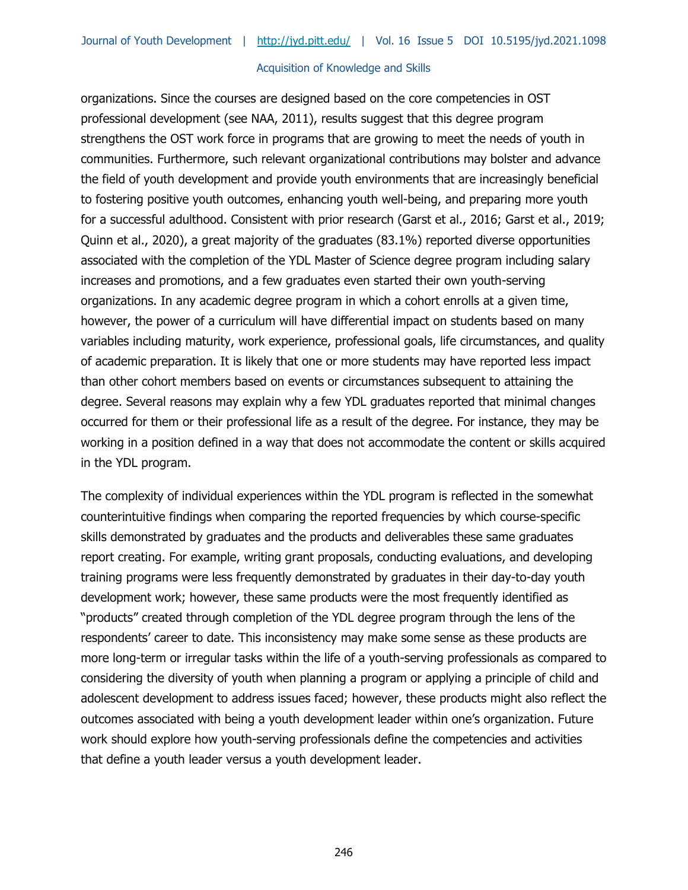organizations. Since the courses are designed based on the core competencies in OST professional development (see NAA, 2011), results suggest that this degree program strengthens the OST work force in programs that are growing to meet the needs of youth in communities. Furthermore, such relevant organizational contributions may bolster and advance the field of youth development and provide youth environments that are increasingly beneficial to fostering positive youth outcomes, enhancing youth well-being, and preparing more youth for a successful adulthood. Consistent with prior research (Garst et al., 2016; Garst et al., 2019; Quinn et al., 2020), a great majority of the graduates (83.1%) reported diverse opportunities associated with the completion of the YDL Master of Science degree program including salary increases and promotions, and a few graduates even started their own youth-serving organizations. In any academic degree program in which a cohort enrolls at a given time, however, the power of a curriculum will have differential impact on students based on many variables including maturity, work experience, professional goals, life circumstances, and quality of academic preparation. It is likely that one or more students may have reported less impact than other cohort members based on events or circumstances subsequent to attaining the degree. Several reasons may explain why a few YDL graduates reported that minimal changes occurred for them or their professional life as a result of the degree. For instance, they may be working in a position defined in a way that does not accommodate the content or skills acquired in the YDL program.

The complexity of individual experiences within the YDL program is reflected in the somewhat counterintuitive findings when comparing the reported frequencies by which course-specific skills demonstrated by graduates and the products and deliverables these same graduates report creating. For example, writing grant proposals, conducting evaluations, and developing training programs were less frequently demonstrated by graduates in their day-to-day youth development work; however, these same products were the most frequently identified as "products" created through completion of the YDL degree program through the lens of the respondents' career to date. This inconsistency may make some sense as these products are more long-term or irregular tasks within the life of a youth-serving professionals as compared to considering the diversity of youth when planning a program or applying a principle of child and adolescent development to address issues faced; however, these products might also reflect the outcomes associated with being a youth development leader within one's organization. Future work should explore how youth-serving professionals define the competencies and activities that define a youth leader versus a youth development leader.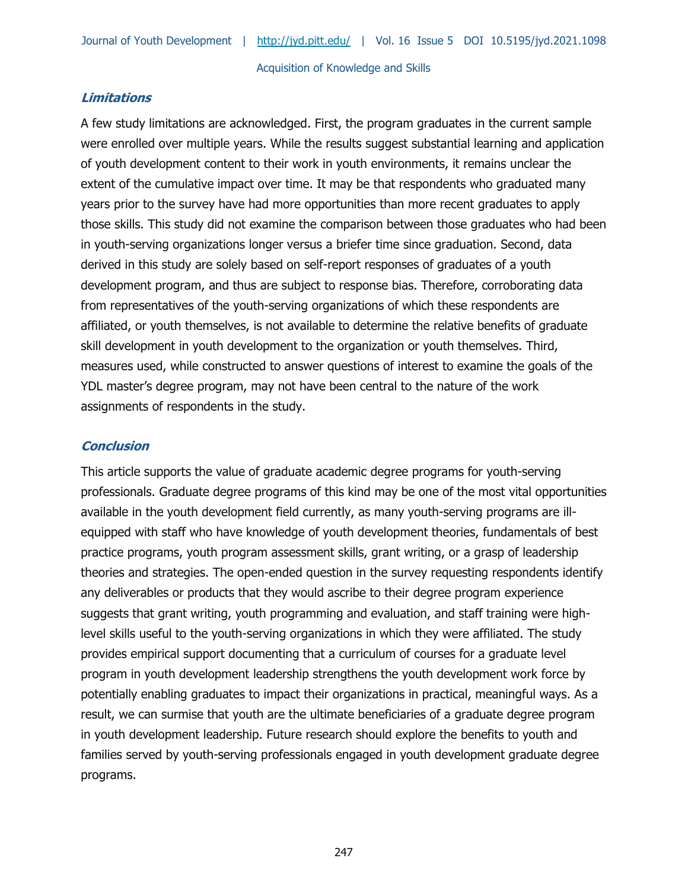# **Limitations**

A few study limitations are acknowledged. First, the program graduates in the current sample were enrolled over multiple years. While the results suggest substantial learning and application of youth development content to their work in youth environments, it remains unclear the extent of the cumulative impact over time. It may be that respondents who graduated many years prior to the survey have had more opportunities than more recent graduates to apply those skills. This study did not examine the comparison between those graduates who had been in youth-serving organizations longer versus a briefer time since graduation. Second, data derived in this study are solely based on self-report responses of graduates of a youth development program, and thus are subject to response bias. Therefore, corroborating data from representatives of the youth-serving organizations of which these respondents are affiliated, or youth themselves, is not available to determine the relative benefits of graduate skill development in youth development to the organization or youth themselves. Third, measures used, while constructed to answer questions of interest to examine the goals of the YDL master's degree program, may not have been central to the nature of the work assignments of respondents in the study.

# **Conclusion**

This article supports the value of graduate academic degree programs for youth-serving professionals. Graduate degree programs of this kind may be one of the most vital opportunities available in the youth development field currently, as many youth-serving programs are illequipped with staff who have knowledge of youth development theories, fundamentals of best practice programs, youth program assessment skills, grant writing, or a grasp of leadership theories and strategies. The open-ended question in the survey requesting respondents identify any deliverables or products that they would ascribe to their degree program experience suggests that grant writing, youth programming and evaluation, and staff training were highlevel skills useful to the youth-serving organizations in which they were affiliated. The study provides empirical support documenting that a curriculum of courses for a graduate level program in youth development leadership strengthens the youth development work force by potentially enabling graduates to impact their organizations in practical, meaningful ways. As a result, we can surmise that youth are the ultimate beneficiaries of a graduate degree program in youth development leadership. Future research should explore the benefits to youth and families served by youth-serving professionals engaged in youth development graduate degree programs.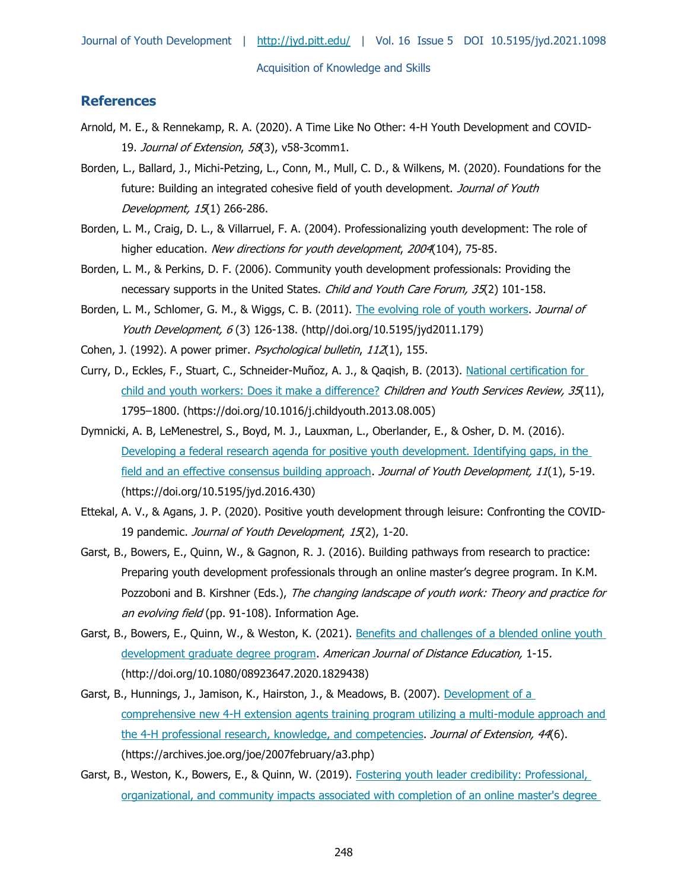# **References**

- Arnold, M. E., & Rennekamp, R. A. (2020). A Time Like No Other: 4-H Youth Development and COVID-19. Journal of Extension, 58(3), v58-3comm1.
- Borden, L., Ballard, J., Michi-Petzing, L., Conn, M., Mull, C. D., & Wilkens, M. (2020). Foundations for the future: Building an integrated cohesive field of youth development. Journal of Youth Development, 15(1) 266-286.
- Borden, L. M., Craig, D. L., & Villarruel, F. A. (2004). Professionalizing youth development: The role of higher education. New directions for youth development, 2004(104), 75-85.
- Borden, L. M., & Perkins, D. F. (2006). Community youth development professionals: Providing the necessary supports in the United States. Child and Youth Care Forum, 35(2) 101-158.
- Borden, L. M., Schlomer, G. M., & Wiggs, C. B. (2011). [The evolving role of youth workers.](file://///files.umn.edu/Ext/Share/YD/cbyrne/Kate%20Walker/JYD/Issues/d-2021-winter/08-finalized%20not%20paginated/http/doi.org/10.5195/jyd2011.179) Journal of Youth Development, 6(3) 126-138. (http//doi.org/10.5195/jyd2011.179)
- Cohen, J. (1992). A power primer. Psychological bulletin, 112(1), 155.
- Curry, D., Eckles, F., Stuart, C., Schneider-Muñoz, A. J., & Qaqish, B. (2013). [National certification for](https://doi.org/10.1016/j.childyouth.2013.08.005)  [child and youth workers: Does it make a difference?](https://doi.org/10.1016/j.childyouth.2013.08.005) Children and Youth Services Review, 35(11), 1795–1800. (https://doi.org/10.1016/j.childyouth.2013.08.005)
- Dymnicki, A. B, LeMenestrel, S., Boyd, M. J., Lauxman, L., Oberlander, E., & Osher, D. M. (2016). Developing a federal research agenda for positive youth development. Identifying gaps, in the [field and an effective consensus building approach.](https://doi.org/10.5195/jyd.2016.430) Journal of Youth Development, 11(1), 5-19. (https://doi.org/10.5195/jyd.2016.430)
- Ettekal, A. V., & Agans, J. P. (2020). Positive youth development through leisure: Confronting the COVID-19 pandemic. Journal of Youth Development, 15(2), 1-20.
- Garst, B., Bowers, E., Quinn, W., & Gagnon, R. J. (2016). Building pathways from research to practice: Preparing youth development professionals through an online master's degree program. In K.M. Pozzoboni and B. Kirshner (Eds.), The changing landscape of youth work: Theory and practice for an evolving field (pp. 91-108). Information Age.
- Garst, B., Bowers, E., Quinn, W., & Weston, K. (2021). [Benefits and challenges of a blended online youth](http://doi.org/10.1080/08923647.2020.1829438)  [development graduate degree program.](http://doi.org/10.1080/08923647.2020.1829438) American Journal of Distance Education, 1-15. (http://doi.org/10.1080/08923647.2020.1829438)
- Garst, B., Hunnings, J., Jamison, K., Hairston, J., & Meadows, B. (2007). [Development of a](https://archives.joe.org/joe/2007february/a3.php)  [comprehensive new 4-H extension agents training program utilizing a multi-module approach and](https://archives.joe.org/joe/2007february/a3.php)  [the 4-H professional research, knowledge, and competencies.](https://archives.joe.org/joe/2007february/a3.php) Journal of Extension, 44(6). (https://archives.joe.org/joe/2007february/a3.php)
- Garst, B., Weston, K., Bowers, E., & Quinn, W. (2019). [Fostering youth leader credibility: Professional,](http://doi.org/10.1016/j.childyouth.2018.11.019)  [organizational, and community impacts associated with completion of an online master's degree](http://doi.org/10.1016/j.childyouth.2018.11.019)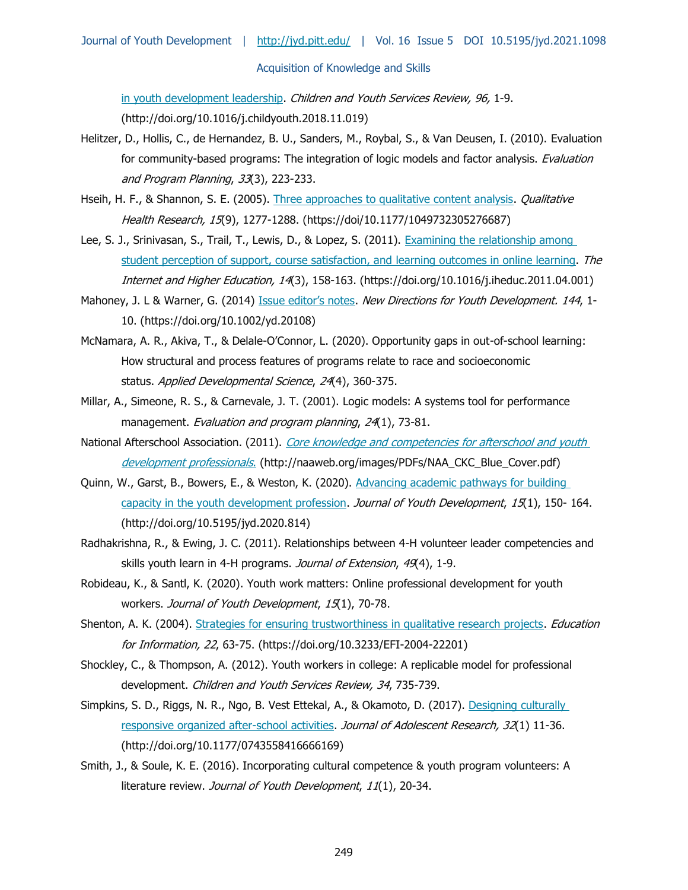[in youth development leadership.](http://doi.org/10.1016/j.childyouth.2018.11.019) Children and Youth Services Review, 96, 1-9. (http://doi.org/10.1016/j.childyouth.2018.11.019)

- Helitzer, D., Hollis, C., de Hernandez, B. U., Sanders, M., Roybal, S., & Van Deusen, I. (2010). Evaluation for community-based programs: The integration of logic models and factor analysis. Evaluation and Program Planning, 33(3), 223-233.
- Hseih, H. F., & Shannon, S. E. (2005). [Three approaches to qualitative content analysis.](https://doi/10.1177/1049732305276687) *Qualitative* Health Research, 15(9), 1277-1288. (https://doi/10.1177/1049732305276687)
- Lee, S. J., Srinivasan, S., Trail, T., Lewis, D., & Lopez, S. (2011). [Examining the relationship among](https://doi.org/10.1016/j.iheduc.2011.04.001)  [student perception of support, course satisfaction, and learning outcomes in online learning.](https://doi.org/10.1016/j.iheduc.2011.04.001) The Internet and Higher Education, 14(3), 158-163. (https://doi.org/10.1016/j.iheduc.2011.04.001)
- Mahoney, J. L & Warner, G. (2014) [Issue editor's notes](https://doi.org/10.1002/yd.20108). New Directions for Youth Development. 144, 1-10. (https://doi.org/10.1002/yd.20108)
- McNamara, A. R., Akiva, T., & Delale-O'Connor, L. (2020). Opportunity gaps in out-of-school learning: How structural and process features of programs relate to race and socioeconomic status. Applied Developmental Science, 24(4), 360-375.
- Millar, A., Simeone, R. S., & Carnevale, J. T. (2001). Logic models: A systems tool for performance management. Evaluation and program planning, 24(1), 73-81.
- National Afterschool Association. (2011). Core knowledge and competencies for afterschool and youth [development professionals](http://naaweb.org/images/PDFs/NAA_CKC_Blue_Cover.pdf). (http://naaweb.org/images/PDFs/NAA\_CKC\_Blue\_Cover.pdf[\)](http://naaweb.org/images/PDFs/NAA_CKC_Blue_Cover.pdf)
- Quinn, W., Garst, B., Bowers, E., & Weston, K. (2020). [Advancing academic pathways for building](http://doi.org/10.5195/jyd.2020.814)  [capacity in the youth development profession.](http://doi.org/10.5195/jyd.2020.814) Journal of Youth Development, 15(1), 150-164. (http://doi.org/10.5195/jyd.2020.814)
- Radhakrishna, R., & Ewing, J. C. (2011). Relationships between 4-H volunteer leader competencies and skills youth learn in 4-H programs. Journal of Extension, 49(4), 1-9.
- Robideau, K., & Santl, K. (2020). Youth work matters: Online professional development for youth workers. Journal of Youth Development, 15(1), 70-78.
- Shenton, A. K. (2004). [Strategies for ensuring trustworthiness in qualitative research projects.](https://doi.org/10.3233/EFI-2004-22201) Education for Information, 22, 63-75. (https://doi.org/10.3233/EFI-2004-22201)
- Shockley, C., & Thompson, A. (2012). Youth workers in college: A replicable model for professional development. Children and Youth Services Review, 34, 735-739.
- Simpkins, S. D., Riggs, N. R., Ngo, B. Vest Ettekal, A., & Okamoto, D. (2017). [Designing culturally](http://doi.org/10.1177/0743558416666169)  [responsive organized after-school activities.](http://doi.org/10.1177/0743558416666169) Journal of Adolescent Research, 32(1) 11-36. (http://doi.org/10.1177/0743558416666169)
- Smith, J., & Soule, K. E. (2016). Incorporating cultural competence & youth program volunteers: A literature review. Journal of Youth Development, 11(1), 20-34.